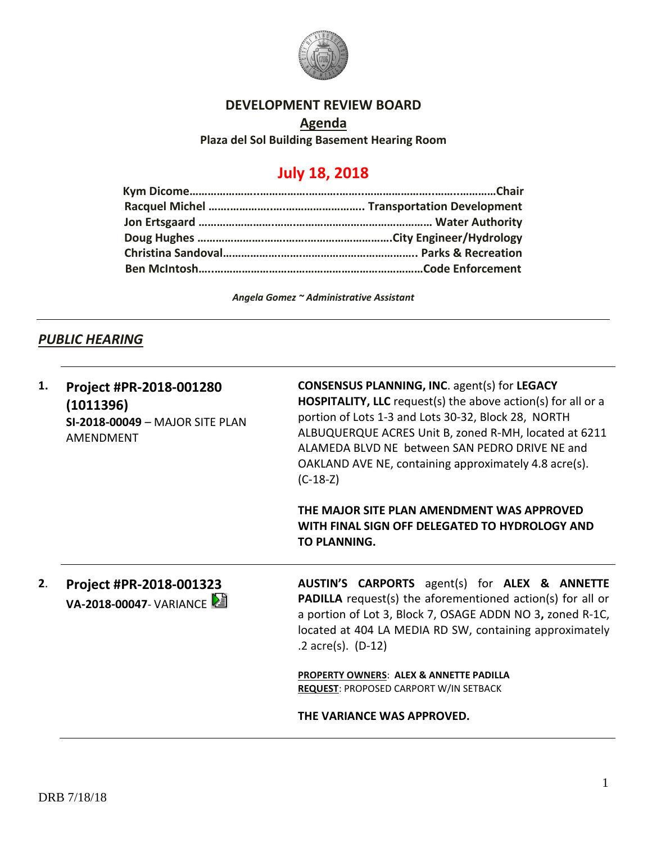

## **DEVELOPMENT REVIEW BOARD**

**Agenda Plaza del Sol Building Basement Hearing Room**

# **July 18, 2018**

*Angela Gomez ~ Administrative Assistant*

## **PUBLIC HEARING**

| 1.<br>2. | Project #PR-2018-001280<br>(1011396)<br><b>SI-2018-00049 - MAJOR SITE PLAN</b><br>AMENDMENT | <b>CONSENSUS PLANNING, INC. agent(s) for LEGACY</b><br><b>HOSPITALITY, LLC</b> request(s) the above action(s) for all or a<br>portion of Lots 1-3 and Lots 30-32, Block 28, NORTH<br>ALBUQUERQUE ACRES Unit B, zoned R-MH, located at 6211<br>ALAMEDA BLVD NE between SAN PEDRO DRIVE NE and<br>OAKLAND AVE NE, containing approximately 4.8 acre(s).<br>$(C-18-Z)$<br>THE MAJOR SITE PLAN AMENDMENT WAS APPROVED<br>WITH FINAL SIGN OFF DELEGATED TO HYDROLOGY AND<br>TO PLANNING. |                                                                                              |
|----------|---------------------------------------------------------------------------------------------|-------------------------------------------------------------------------------------------------------------------------------------------------------------------------------------------------------------------------------------------------------------------------------------------------------------------------------------------------------------------------------------------------------------------------------------------------------------------------------------|----------------------------------------------------------------------------------------------|
|          |                                                                                             |                                                                                                                                                                                                                                                                                                                                                                                                                                                                                     |                                                                                              |
|          |                                                                                             |                                                                                                                                                                                                                                                                                                                                                                                                                                                                                     | <b>PROPERTY OWNERS: ALEX &amp; ANNETTE PADILLA</b><br>REQUEST: PROPOSED CARPORT W/IN SETBACK |
|          |                                                                                             | THE VARIANCE WAS APPROVED.                                                                                                                                                                                                                                                                                                                                                                                                                                                          |                                                                                              |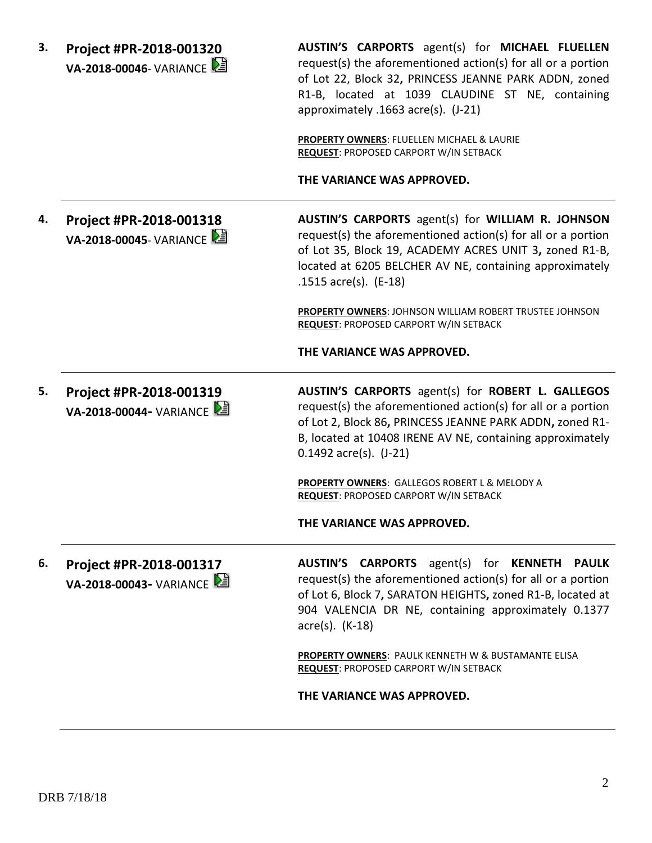| З. | Project #PR-2018-001320<br><b>VA-2018-00046-</b> VARIANCE | AUSTIN'S CARPORTS agent(s) for MICHAEL FLUELLEN<br>request(s) the aforementioned action(s) for all or a portion<br>of Lot 22, Block 32, PRINCESS JEANNE PARK ADDN, zoned<br>R1-B, located at 1039 CLAUDINE ST NE, containing<br>approximately .1663 acre(s). (J-21)                                   |
|----|-----------------------------------------------------------|-------------------------------------------------------------------------------------------------------------------------------------------------------------------------------------------------------------------------------------------------------------------------------------------------------|
|    |                                                           | PROPERTY OWNERS: FLUELLEN MICHAEL & LAURIE<br><b>REQUEST: PROPOSED CARPORT W/IN SETBACK</b>                                                                                                                                                                                                           |
|    |                                                           | THE VARIANCE WAS APPROVED.                                                                                                                                                                                                                                                                            |
| 4. | Project #PR-2018-001318<br>VA-2018-00045- VARIANCE        | AUSTIN'S CARPORTS agent(s) for WILLIAM R. JOHNSON<br>request(s) the aforementioned action(s) for all or a portion<br>of Lot 35, Block 19, ACADEMY ACRES UNIT 3, zoned R1-B,<br>located at 6205 BELCHER AV NE, containing approximately<br>.1515 $\arccos 15$ . (E-18)                                 |
|    |                                                           | PROPERTY OWNERS: JOHNSON WILLIAM ROBERT TRUSTEE JOHNSON<br><b>REQUEST: PROPOSED CARPORT W/IN SETBACK</b>                                                                                                                                                                                              |
|    |                                                           | THE VARIANCE WAS APPROVED.                                                                                                                                                                                                                                                                            |
| 5. | Project #PR-2018-001319<br>VA-2018-00044- VARIANCE        | AUSTIN'S CARPORTS agent(s) for ROBERT L. GALLEGOS<br>request(s) the aforementioned action(s) for all or a portion<br>of Lot 2, Block 86, PRINCESS JEANNE PARK ADDN, zoned R1-<br>B, located at 10408 IRENE AV NE, containing approximately<br>$0.1492$ acre(s). $(J-21)$                              |
|    |                                                           | PROPERTY OWNERS: GALLEGOS ROBERT L & MELODY A<br><b>REQUEST: PROPOSED CARPORT W/IN SETBACK</b>                                                                                                                                                                                                        |
|    |                                                           | THE VARIANCE WAS APPROVED.                                                                                                                                                                                                                                                                            |
| 6. | Project #PR-2018-001317<br>VA-2018-00043- VARIANCE        | <b>AUSTIN'S</b><br><b>CARPORTS</b><br>agent(s)<br>for<br><b>KENNETH</b><br><b>PAULK</b><br>request(s) the aforementioned action(s) for all or a portion<br>of Lot 6, Block 7, SARATON HEIGHTS, zoned R1-B, located at<br>904 VALENCIA DR NE, containing approximately 0.1377<br>$\arccos(5)$ . (K-18) |
|    |                                                           |                                                                                                                                                                                                                                                                                                       |

**THE VARIANCE WAS APPROVED.**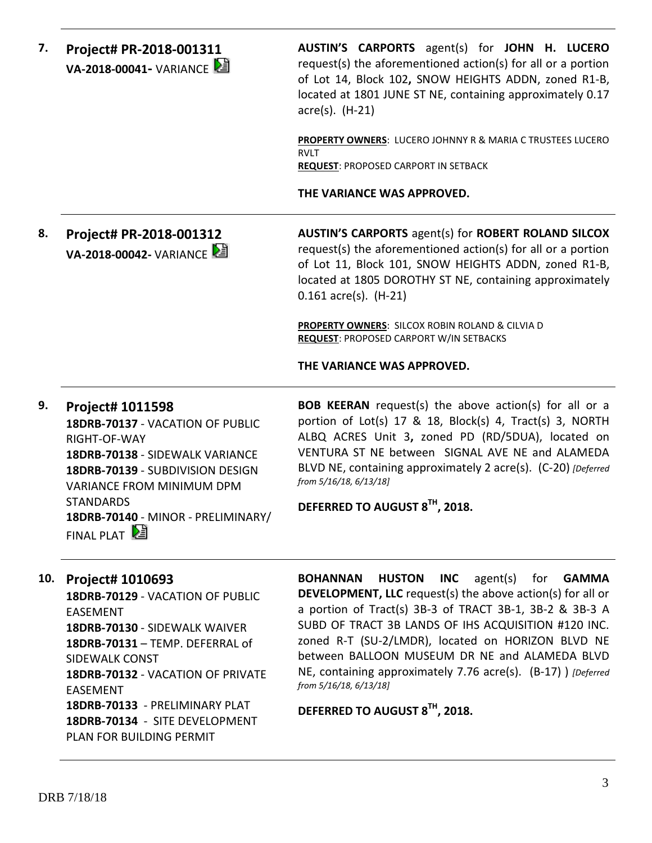| 7.  | Project# PR-2018-001311<br>VA-2018-00041- VARIANCE                                                                                                                                                                                                             | AUSTIN'S CARPORTS agent(s) for JOHN H. LUCERO<br>request(s) the aforementioned action(s) for all or a portion<br>of Lot 14, Block 102, SNOW HEIGHTS ADDN, zoned R1-B,<br>located at 1801 JUNE ST NE, containing approximately 0.17<br>$\text{acre}(s)$ . (H-21)                                                                                                                                                                                                           |
|-----|----------------------------------------------------------------------------------------------------------------------------------------------------------------------------------------------------------------------------------------------------------------|---------------------------------------------------------------------------------------------------------------------------------------------------------------------------------------------------------------------------------------------------------------------------------------------------------------------------------------------------------------------------------------------------------------------------------------------------------------------------|
|     |                                                                                                                                                                                                                                                                | PROPERTY OWNERS: LUCERO JOHNNY R & MARIA C TRUSTEES LUCERO<br><b>RVLT</b><br><b>REQUEST: PROPOSED CARPORT IN SETBACK</b>                                                                                                                                                                                                                                                                                                                                                  |
|     |                                                                                                                                                                                                                                                                | THE VARIANCE WAS APPROVED.                                                                                                                                                                                                                                                                                                                                                                                                                                                |
| 8.  | Project# PR-2018-001312<br>VA-2018-00042- VARIANCE                                                                                                                                                                                                             | <b>AUSTIN'S CARPORTS agent(s) for ROBERT ROLAND SILCOX</b><br>request(s) the aforementioned action(s) for all or a portion<br>of Lot 11, Block 101, SNOW HEIGHTS ADDN, zoned R1-B,<br>located at 1805 DOROTHY ST NE, containing approximately<br>$0.161$ acre(s). (H-21)                                                                                                                                                                                                  |
|     |                                                                                                                                                                                                                                                                | PROPERTY OWNERS: SILCOX ROBIN ROLAND & CILVIA D<br><b>REQUEST: PROPOSED CARPORT W/IN SETBACKS</b>                                                                                                                                                                                                                                                                                                                                                                         |
|     |                                                                                                                                                                                                                                                                | THE VARIANCE WAS APPROVED.                                                                                                                                                                                                                                                                                                                                                                                                                                                |
| 9.  | Project# 1011598<br>18DRB-70137 - VACATION OF PUBLIC<br>RIGHT-OF-WAY<br>18DRB-70138 - SIDEWALK VARIANCE<br>18DRB-70139 - SUBDIVISION DESIGN<br><b>VARIANCE FROM MINIMUM DPM</b><br><b>STANDARDS</b><br>18DRB-70140 - MINOR - PRELIMINARY/<br>FINAL PLAT        | <b>BOB KEERAN</b> request(s) the above action(s) for all or a<br>portion of Lot(s) 17 & 18, Block(s) 4, Tract(s) 3, NORTH<br>ALBQ ACRES Unit 3, zoned PD (RD/5DUA), located on<br>VENTURA ST NE between SIGNAL AVE NE and ALAMEDA<br>BLVD NE, containing approximately 2 acre(s). (C-20) [Deferred<br>from 5/16/18, 6/13/18]<br>DEFERRED TO AUGUST 8TH, 2018.                                                                                                             |
| 10. | Project# 1010693<br>18DRB-70129 - VACATION OF PUBLIC<br><b>EASEMENT</b><br>18DRB-70130 - SIDEWALK WAIVER<br>18DRB-70131 - TEMP. DEFERRAL of<br><b>SIDEWALK CONST</b><br>18DRB-70132 - VACATION OF PRIVATE<br><b>EASEMENT</b><br>18DRB-70133 - PRELIMINARY PLAT | <b>BOHANNAN</b><br><b>HUSTON</b><br><b>INC</b><br>agent(s)<br>for<br><b>GAMMA</b><br><b>DEVELOPMENT, LLC</b> request(s) the above action(s) for all or<br>a portion of Tract(s) 3B-3 of TRACT 3B-1, 3B-2 & 3B-3 A<br>SUBD OF TRACT 3B LANDS OF IHS ACQUISITION #120 INC.<br>zoned R-T (SU-2/LMDR), located on HORIZON BLVD NE<br>between BALLOON MUSEUM DR NE and ALAMEDA BLVD<br>NE, containing approximately 7.76 acre(s). (B-17) ) [Deferred<br>from 5/16/18, 6/13/18] |
|     | 18DRB-70134 - SITE DEVELOPMENT                                                                                                                                                                                                                                 | DEFERRED TO AUGUST 8TH, 2018.                                                                                                                                                                                                                                                                                                                                                                                                                                             |

PLAN FOR BUILDING PERMIT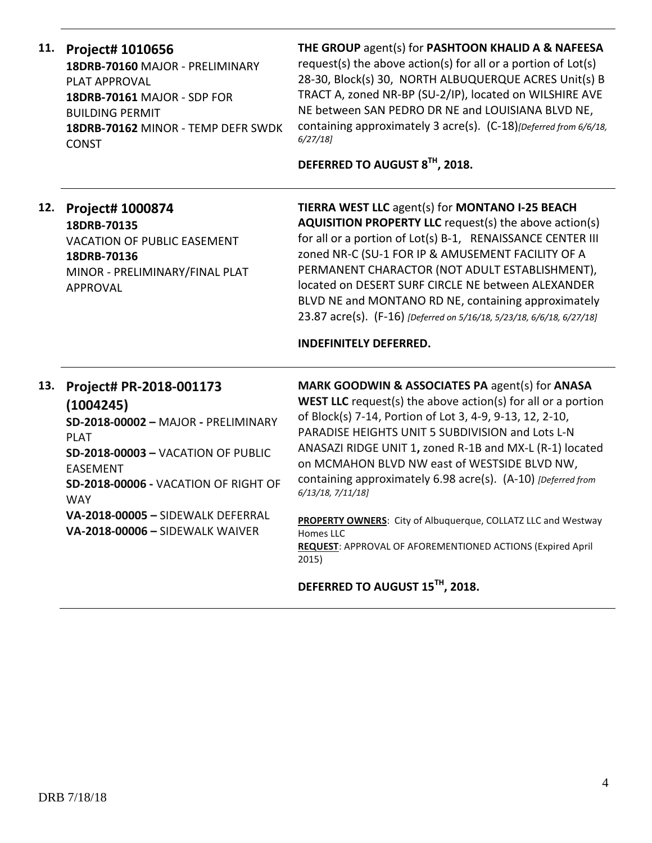| 11. | Project# 1010656<br>18DRB-70160 MAJOR - PRELIMINARY<br><b>PLAT APPROVAL</b><br><b>18DRB-70161 MAJOR - SDP FOR</b><br><b>BUILDING PERMIT</b><br>18DRB-70162 MINOR - TEMP DEFR SWDK<br><b>CONST</b>                                                                                        | THE GROUP agent(s) for PASHTOON KHALID A & NAFEESA<br>request(s) the above action(s) for all or a portion of Lot(s)<br>28-30, Block(s) 30, NORTH ALBUQUERQUE ACRES Unit(s) B<br>TRACT A, zoned NR-BP (SU-2/IP), located on WILSHIRE AVE<br>NE between SAN PEDRO DR NE and LOUISIANA BLVD NE,<br>containing approximately 3 acre(s). (C-18)[Deferred from 6/6/18,<br>6/27/18<br>DEFERRED TO AUGUST 8TH, 2018.                                                                                                                                                                                         |
|-----|------------------------------------------------------------------------------------------------------------------------------------------------------------------------------------------------------------------------------------------------------------------------------------------|------------------------------------------------------------------------------------------------------------------------------------------------------------------------------------------------------------------------------------------------------------------------------------------------------------------------------------------------------------------------------------------------------------------------------------------------------------------------------------------------------------------------------------------------------------------------------------------------------|
| 12. | Project# 1000874<br>18DRB-70135<br><b>VACATION OF PUBLIC EASEMENT</b><br>18DRB-70136<br>MINOR - PRELIMINARY/FINAL PLAT<br><b>APPROVAL</b>                                                                                                                                                | TIERRA WEST LLC agent(s) for MONTANO I-25 BEACH<br><b>AQUISITION PROPERTY LLC</b> request(s) the above action(s)<br>for all or a portion of Lot(s) B-1, RENAISSANCE CENTER III<br>zoned NR-C (SU-1 FOR IP & AMUSEMENT FACILITY OF A<br>PERMANENT CHARACTOR (NOT ADULT ESTABLISHMENT),<br>located on DESERT SURF CIRCLE NE between ALEXANDER<br>BLVD NE and MONTANO RD NE, containing approximately<br>23.87 acre(s). (F-16) [Deferred on 5/16/18, 5/23/18, 6/6/18, 6/27/18]<br><b>INDEFINITELY DEFERRED.</b>                                                                                         |
| 13. | Project# PR-2018-001173<br>(1004245)<br>SD-2018-00002 - MAJOR - PRELIMINARY<br><b>PLAT</b><br><b>SD-2018-00003 - VACATION OF PUBLIC</b><br><b>EASEMENT</b><br>SD-2018-00006 - VACATION OF RIGHT OF<br><b>WAY</b><br>VA-2018-00005 - SIDEWALK DEFERRAL<br>VA-2018-00006 - SIDEWALK WAIVER | MARK GOODWIN & ASSOCIATES PA agent(s) for ANASA<br><b>WEST LLC</b> request(s) the above $action(s)$ for all or a portion<br>of Block(s) 7-14, Portion of Lot 3, 4-9, 9-13, 12, 2-10,<br>PARADISE HEIGHTS UNIT 5 SUBDIVISION and Lots L-N<br>ANASAZI RIDGE UNIT 1, zoned R-1B and MX-L (R-1) located<br>on MCMAHON BLVD NW east of WESTSIDE BLVD NW,<br>containing approximately 6.98 acre(s). (A-10) [Deferred from<br>6/13/18, 7/11/18]<br>PROPERTY OWNERS: City of Albuquerque, COLLATZ LLC and Westway<br>Homes LLC<br><b>REQUEST: APPROVAL OF AFOREMENTIONED ACTIONS (Expired April</b><br>2015) |
|     |                                                                                                                                                                                                                                                                                          | DEFERRED TO AUGUST 15TH, 2018.                                                                                                                                                                                                                                                                                                                                                                                                                                                                                                                                                                       |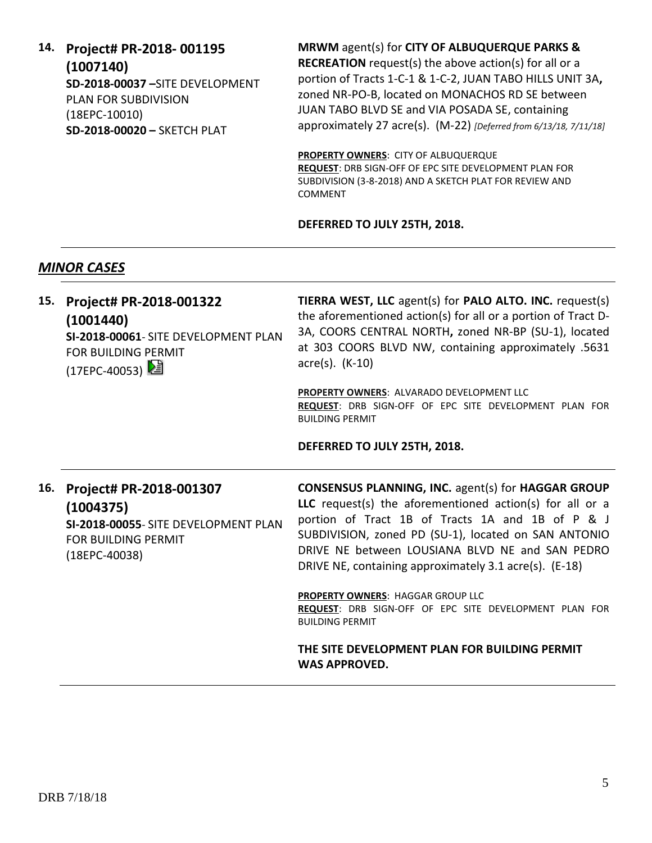**14. Project# PR-2018- 001195 (1007140) SD-2018-00037 –**SITE DEVELOPMENT PLAN FOR SUBDIVISION (18EPC-10010) **SD-2018-00020 –** SKETCH PLAT

**MRWM** agent(s) for **CITY OF ALBUQUERQUE PARKS & RECREATION** request(s) the above action(s) for all or a portion of Tracts 1-C-1 & 1-C-2, JUAN TABO HILLS UNIT 3A**,**  zoned NR-PO-B, located on MONACHOS RD SE between JUAN TABO BLVD SE and VIA POSADA SE, containing approximately 27 acre(s). (M-22) *[Deferred from 6/13/18, 7/11/18]*

**PROPERTY OWNERS**: CITY OF ALBUQUERQUE **REQUEST**: DRB SIGN-OFF OF EPC SITE DEVELOPMENT PLAN FOR SUBDIVISION (3-8-2018) AND A SKETCH PLAT FOR REVIEW AND COMMENT

#### **DEFERRED TO JULY 25TH, 2018.**

### *MINOR CASES*

| 15. | Project# PR-2018-001322<br>(1001440)<br>SI-2018-00061- SITE DEVELOPMENT PLAN<br><b>FOR BUILDING PERMIT</b><br>$(17EPC-40053)$ | TIERRA WEST, LLC agent(s) for PALO ALTO. INC. request(s)<br>the aforementioned action(s) for all or a portion of Tract D-<br>3A, COORS CENTRAL NORTH, zoned NR-BP (SU-1), located<br>at 303 COORS BLVD NW, containing approximately .5631<br>$\arccos(5)$ . (K-10)                                                                             |
|-----|-------------------------------------------------------------------------------------------------------------------------------|------------------------------------------------------------------------------------------------------------------------------------------------------------------------------------------------------------------------------------------------------------------------------------------------------------------------------------------------|
|     |                                                                                                                               | <b>PROPERTY OWNERS: ALVARADO DEVELOPMENT LLC</b><br>REQUEST: DRB SIGN-OFF OF EPC SITE DEVELOPMENT PLAN FOR<br><b>BUILDING PERMIT</b>                                                                                                                                                                                                           |
|     |                                                                                                                               | DEFERRED TO JULY 25TH, 2018.                                                                                                                                                                                                                                                                                                                   |
| 16. | Project# PR-2018-001307<br>(1004375)<br>SI-2018-00055- SITE DEVELOPMENT PLAN<br><b>FOR BUILDING PERMIT</b><br>$(18EPC-40038)$ | <b>CONSENSUS PLANNING, INC. agent(s) for HAGGAR GROUP</b><br>LLC request(s) the aforementioned action(s) for all or a<br>portion of Tract 1B of Tracts 1A and 1B of P & J<br>SUBDIVISION, zoned PD (SU-1), located on SAN ANTONIO<br>DRIVE NE between LOUSIANA BLVD NE and SAN PEDRO<br>DRIVE NE, containing approximately 3.1 acre(s). (E-18) |
|     |                                                                                                                               | PROPERTY OWNERS: HAGGAR GROUP LLC<br>REQUEST: DRB SIGN-OFF OF EPC SITE DEVELOPMENT PLAN FOR<br><b>BUILDING PERMIT</b>                                                                                                                                                                                                                          |
|     |                                                                                                                               | THE SITE DEVELOPMENT PLAN FOR BUILDING PERMIT<br><b>WAS APPROVED.</b>                                                                                                                                                                                                                                                                          |
|     |                                                                                                                               |                                                                                                                                                                                                                                                                                                                                                |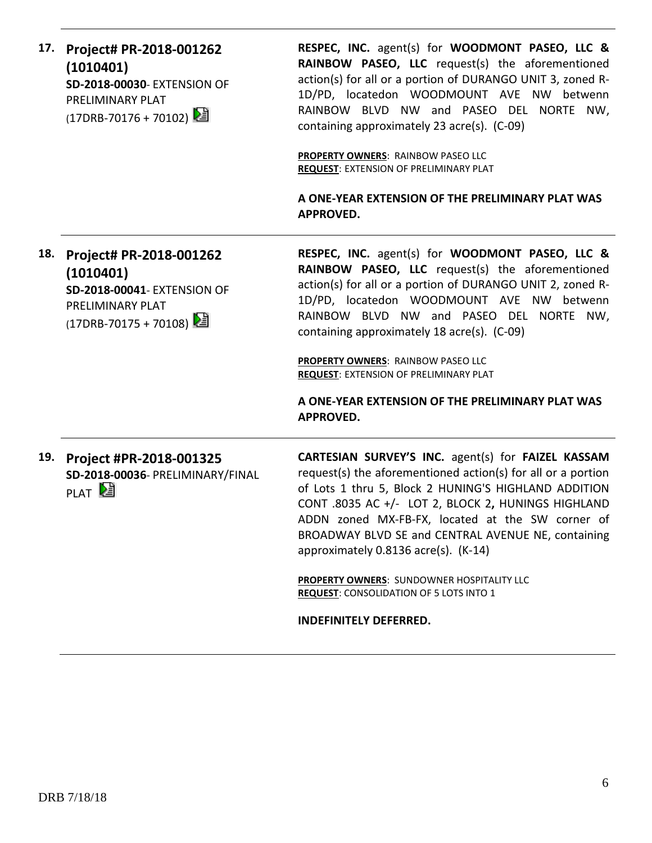| 17. | Project# PR-2018-001262<br>(1010401)<br>SD-2018-00030- EXTENSION OF<br>PRELIMINARY PLAT<br>(17DRB-70176 + 70102) | RESPEC, INC. agent(s) for WOODMONT PASEO, LLC &<br>RAINBOW PASEO, LLC request(s) the aforementioned<br>action(s) for all or a portion of DURANGO UNIT 3, zoned R-<br>1D/PD, locatedon WOODMOUNT AVE NW betwenn<br>RAINBOW BLVD NW and PASEO DEL NORTE NW,<br>containing approximately 23 acre(s). (C-09)<br>PROPERTY OWNERS: RAINBOW PASEO LLC<br><b>REQUEST: EXTENSION OF PRELIMINARY PLAT</b><br>A ONE-YEAR EXTENSION OF THE PRELIMINARY PLAT WAS<br><b>APPROVED.</b>            |
|-----|------------------------------------------------------------------------------------------------------------------|------------------------------------------------------------------------------------------------------------------------------------------------------------------------------------------------------------------------------------------------------------------------------------------------------------------------------------------------------------------------------------------------------------------------------------------------------------------------------------|
| 18. | Project# PR-2018-001262<br>(1010401)<br>SD-2018-00041- EXTENSION OF<br>PRELIMINARY PLAT<br>(17DRB-70175 + 70108) | RESPEC, INC. agent(s) for WOODMONT PASEO, LLC &<br>RAINBOW PASEO, LLC request(s) the aforementioned<br>action(s) for all or a portion of DURANGO UNIT 2, zoned R-<br>1D/PD, locatedon WOODMOUNT AVE NW betwenn<br>RAINBOW BLVD NW and PASEO DEL NORTE NW,<br>containing approximately 18 acre(s). (C-09)<br>PROPERTY OWNERS: RAINBOW PASEO LLC<br>REQUEST: EXTENSION OF PRELIMINARY PLAT<br>A ONE-YEAR EXTENSION OF THE PRELIMINARY PLAT WAS<br><b>APPROVED.</b>                   |
| 19. | Project #PR-2018-001325<br>SD-2018-00036- PRELIMINARY/FINAL<br>PLAT <sup>[24]</sup>                              | CARTESIAN SURVEY'S INC. agent(s) for FAIZEL KASSAM<br>request(s) the aforementioned action(s) for all or a portion<br>of Lots 1 thru 5, Block 2 HUNING'S HIGHLAND ADDITION<br>CONT .8035 AC +/- LOT 2, BLOCK 2, HUNINGS HIGHLAND<br>ADDN zoned MX-FB-FX, located at the SW corner of<br>BROADWAY BLVD SE and CENTRAL AVENUE NE, containing<br>approximately 0.8136 acre(s). (K-14)<br>PROPERTY OWNERS: SUNDOWNER HOSPITALITY LLC<br><b>REQUEST: CONSOLIDATION OF 5 LOTS INTO 1</b> |

**INDEFINITELY DEFERRED.**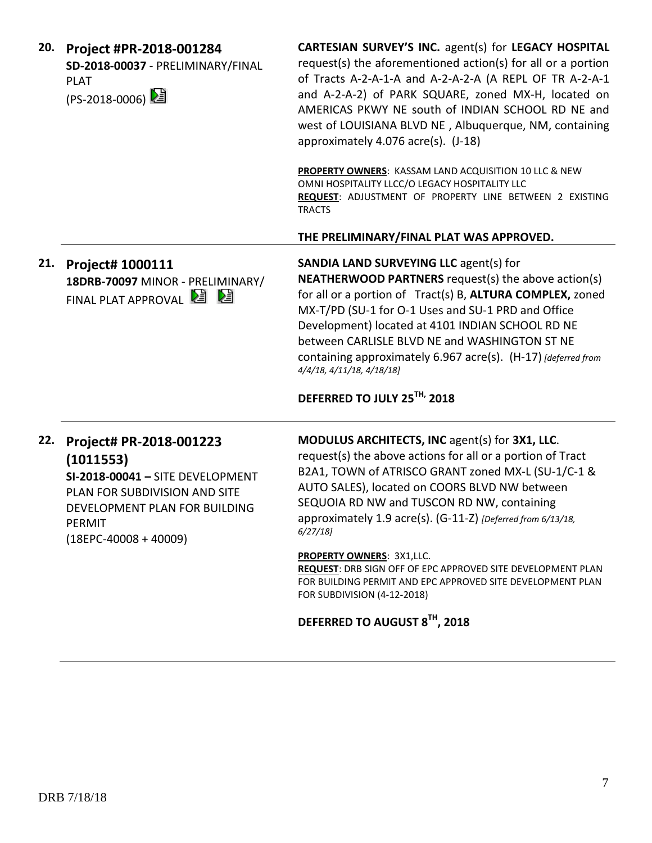| 20. | Project #PR-2018-001284<br>SD-2018-00037 - PRELIMINARY/FINAL<br><b>PLAT</b><br>(PS-2018-0006) 2                                                                                      | CARTESIAN SURVEY'S INC. agent(s) for LEGACY HOSPITAL<br>request(s) the aforementioned action(s) for all or a portion<br>of Tracts A-2-A-1-A and A-2-A-2-A (A REPL OF TR A-2-A-1<br>and A-2-A-2) of PARK SQUARE, zoned MX-H, located on<br>AMERICAS PKWY NE south of INDIAN SCHOOL RD NE and<br>west of LOUISIANA BLVD NE, Albuquerque, NM, containing<br>approximately 4.076 acre(s). (J-18)<br>PROPERTY OWNERS: KASSAM LAND ACQUISITION 10 LLC & NEW<br>OMNI HOSPITALITY LLCC/O LEGACY HOSPITALITY LLC<br>REQUEST: ADJUSTMENT OF PROPERTY LINE BETWEEN 2 EXISTING<br><b>TRACTS</b> |
|-----|--------------------------------------------------------------------------------------------------------------------------------------------------------------------------------------|-------------------------------------------------------------------------------------------------------------------------------------------------------------------------------------------------------------------------------------------------------------------------------------------------------------------------------------------------------------------------------------------------------------------------------------------------------------------------------------------------------------------------------------------------------------------------------------|
|     |                                                                                                                                                                                      | THE PRELIMINARY/FINAL PLAT WAS APPROVED.                                                                                                                                                                                                                                                                                                                                                                                                                                                                                                                                            |
| 21. | Project# 1000111<br>18DRB-70097 MINOR - PRELIMINARY/<br>FINAL PLAT APPROVAL <b>E E</b>                                                                                               | <b>SANDIA LAND SURVEYING LLC agent(s) for</b><br><b>NEATHERWOOD PARTNERS</b> request(s) the above action(s)<br>for all or a portion of Tract(s) B, ALTURA COMPLEX, zoned<br>MX-T/PD (SU-1 for O-1 Uses and SU-1 PRD and Office<br>Development) located at 4101 INDIAN SCHOOL RD NE<br>between CARLISLE BLVD NE and WASHINGTON ST NE<br>containing approximately 6.967 acre(s). (H-17) [deferred from<br>4/4/18, 4/11/18, 4/18/18]<br>DEFERRED TO JULY 25TH, 2018                                                                                                                    |
| 22. | Project# PR-2018-001223<br>(1011553)<br>SI-2018-00041 - SITE DEVELOPMENT<br>PLAN FOR SUBDIVISION AND SITE<br>DEVELOPMENT PLAN FOR BUILDING<br><b>PERMIT</b><br>$(18EPC-40008+40009)$ | MODULUS ARCHITECTS, INC agent(s) for 3X1, LLC.<br>request(s) the above actions for all or a portion of Tract<br>B2A1, TOWN of ATRISCO GRANT zoned MX-L (SU-1/C-1 &<br>AUTO SALES), located on COORS BLVD NW between<br>SEQUOIA RD NW and TUSCON RD NW, containing<br>approximately 1.9 acre(s). (G-11-Z) [Deferred from 6/13/18,<br>6/27/18<br><b>PROPERTY OWNERS: 3X1,LLC.</b>                                                                                                                                                                                                     |

**REQUEST**: DRB SIGN OFF OF EPC APPROVED SITE DEVELOPMENT PLAN FOR BUILDING PERMIT AND EPC APPROVED SITE DEVELOPMENT PLAN FOR SUBDIVISION (4-12-2018)

## **DEFERRED TO AUGUST 8TH, 2018**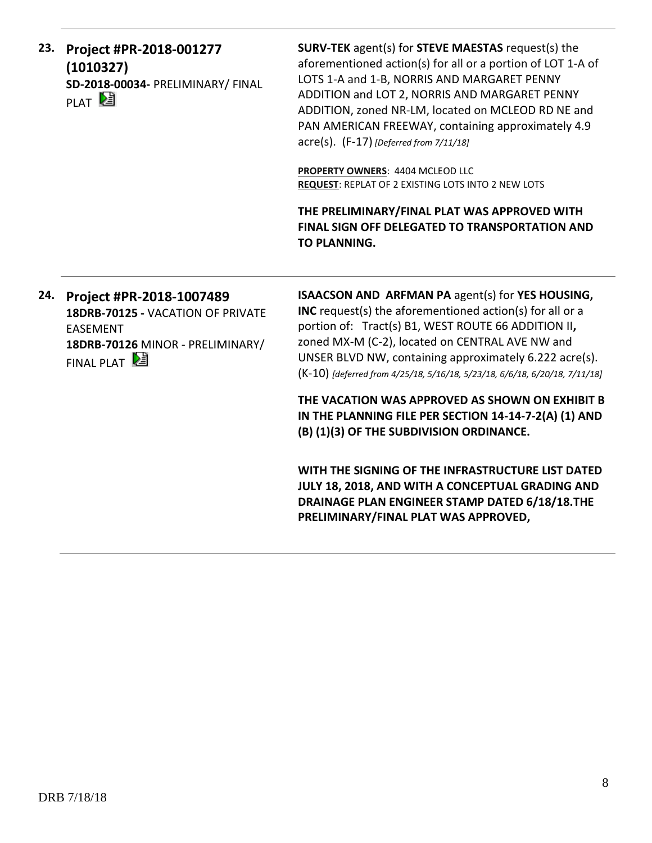| 23. | Project #PR-2018-001277<br>(1010327)<br>SD-2018-00034- PRELIMINARY/ FINAL<br>PLAT <sup>D</sup> | SURV-TEK agent(s) for STEVE MAESTAS request(s) the<br>aforementioned action(s) for all or a portion of LOT 1-A of<br>LOTS 1-A and 1-B, NORRIS AND MARGARET PENNY<br>ADDITION and LOT 2, NORRIS AND MARGARET PENNY<br>ADDITION, zoned NR-LM, located on MCLEOD RD NE and<br>PAN AMERICAN FREEWAY, containing approximately 4.9<br>$\text{acre}(s)$ . (F-17) [Deferred from 7/11/18] |
|-----|------------------------------------------------------------------------------------------------|------------------------------------------------------------------------------------------------------------------------------------------------------------------------------------------------------------------------------------------------------------------------------------------------------------------------------------------------------------------------------------|
|     |                                                                                                | <b>PROPERTY OWNERS: 4404 MCLEOD LLC</b><br><b>REQUEST: REPLAT OF 2 EXISTING LOTS INTO 2 NEW LOTS</b>                                                                                                                                                                                                                                                                               |
|     |                                                                                                | THE PRELIMINARY/FINAL PLAT WAS APPROVED WITH<br><b>FINAL SIGN OFF DELEGATED TO TRANSPORTATION AND</b><br><b>TO PLANNING.</b>                                                                                                                                                                                                                                                       |

**24. Project #PR-2018-1007489 18DRB-70125 -** VACATION OF PRIVATE EASEMENT **18DRB-70126** MINOR - PRELIMINARY/ FINAL PLAT

**ISAACSON AND ARFMAN PA** agent(s) for **YES HOUSING, INC** request(s) the aforementioned action(s) for all or a portion of: Tract(s) B1, WEST ROUTE 66 ADDITION II**,** zoned MX-M (C-2), located on CENTRAL AVE NW and UNSER BLVD NW, containing approximately 6.222 acre(s). (K-10) *[deferred from 4/25/18, 5/16/18, 5/23/18, 6/6/18, 6/20/18, 7/11/18]*

**THE VACATION WAS APPROVED AS SHOWN ON EXHIBIT B IN THE PLANNING FILE PER SECTION 14-14-7-2(A) (1) AND (B) (1)(3) OF THE SUBDIVISION ORDINANCE.**

**WITH THE SIGNING OF THE INFRASTRUCTURE LIST DATED JULY 18, 2018, AND WITH A CONCEPTUAL GRADING AND DRAINAGE PLAN ENGINEER STAMP DATED 6/18/18.THE PRELIMINARY/FINAL PLAT WAS APPROVED,**